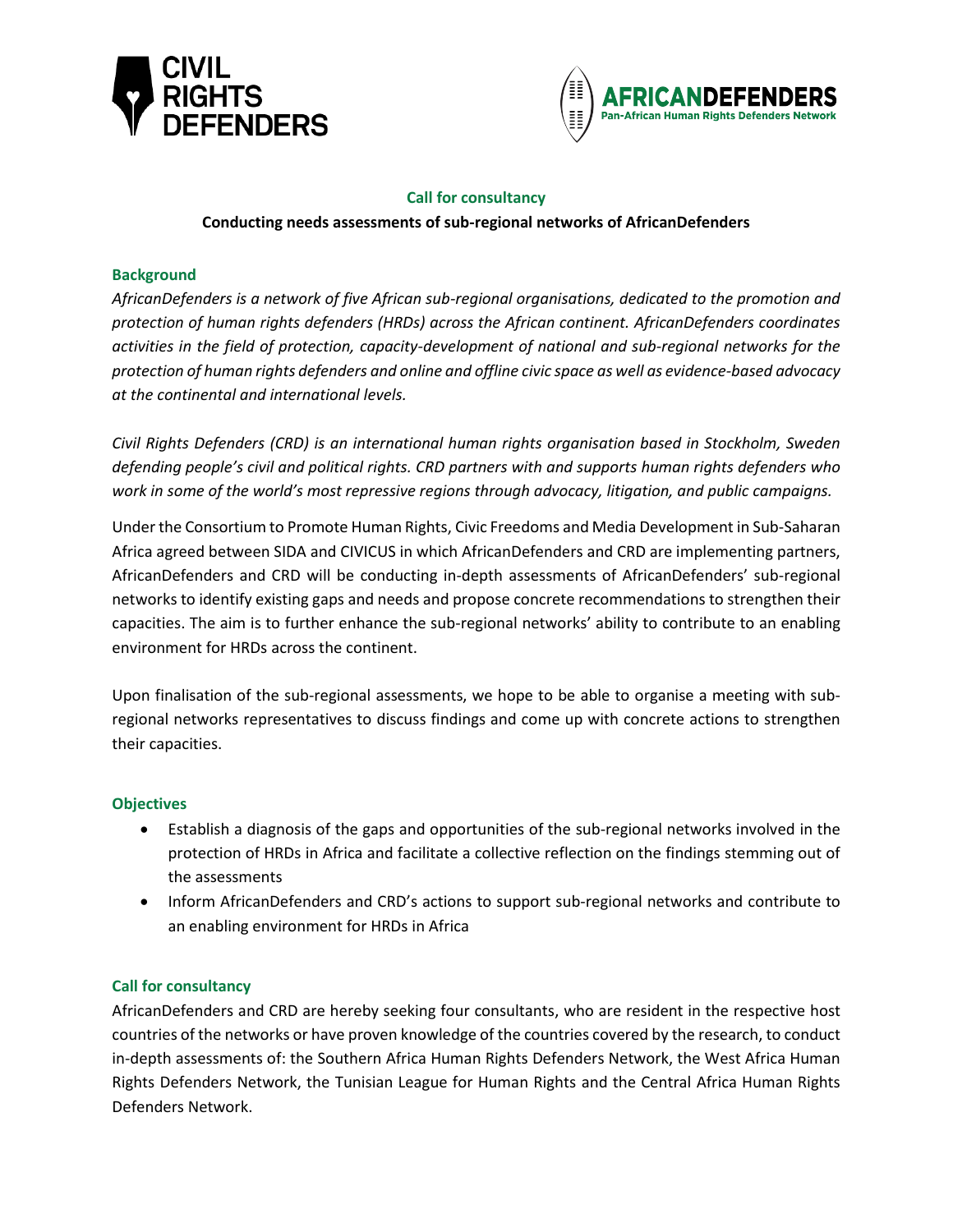



# **Call for consultancy**

# **Conducting needs assessments of sub-regional networks of AfricanDefenders**

## **Background**

*AfricanDefenders is a network of five African sub-regional organisations, dedicated to the promotion and protection of human rights defenders (HRDs) across the African continent. AfricanDefenders coordinates activities in the field of protection, capacity-development of national and sub-regional networks for the protection of human rights defenders and online and offline civic space as well as evidence-based advocacy at the continental and international levels.*

*Civil Rights Defenders (CRD) is an international human rights organisation based in Stockholm, Sweden defending people's civil and political rights. CRD partners with and supports human rights defenders who work in some of the world's most repressive regions through advocacy, litigation, and public campaigns.*

Under the Consortium to Promote Human Rights, Civic Freedoms and Media Development in Sub-Saharan Africa agreed between SIDA and CIVICUS in which AfricanDefenders and CRD are implementing partners, AfricanDefenders and CRD will be conducting in-depth assessments of AfricanDefenders' sub-regional networks to identify existing gaps and needs and propose concrete recommendations to strengthen their capacities. The aim is to further enhance the sub-regional networks' ability to contribute to an enabling environment for HRDs across the continent.

Upon finalisation of the sub-regional assessments, we hope to be able to organise a meeting with subregional networks representatives to discuss findings and come up with concrete actions to strengthen their capacities.

### **Objectives**

- Establish a diagnosis of the gaps and opportunities of the sub-regional networks involved in the protection of HRDs in Africa and facilitate a collective reflection on the findings stemming out of the assessments
- Inform AfricanDefenders and CRD's actions to support sub-regional networks and contribute to an enabling environment for HRDs in Africa

### **Call for consultancy**

AfricanDefenders and CRD are hereby seeking four consultants, who are resident in the respective host countries of the networks or have proven knowledge of the countries covered by the research, to conduct in-depth assessments of: the Southern Africa Human Rights Defenders Network, the West Africa Human Rights Defenders Network, the Tunisian League for Human Rights and the Central Africa Human Rights Defenders Network.